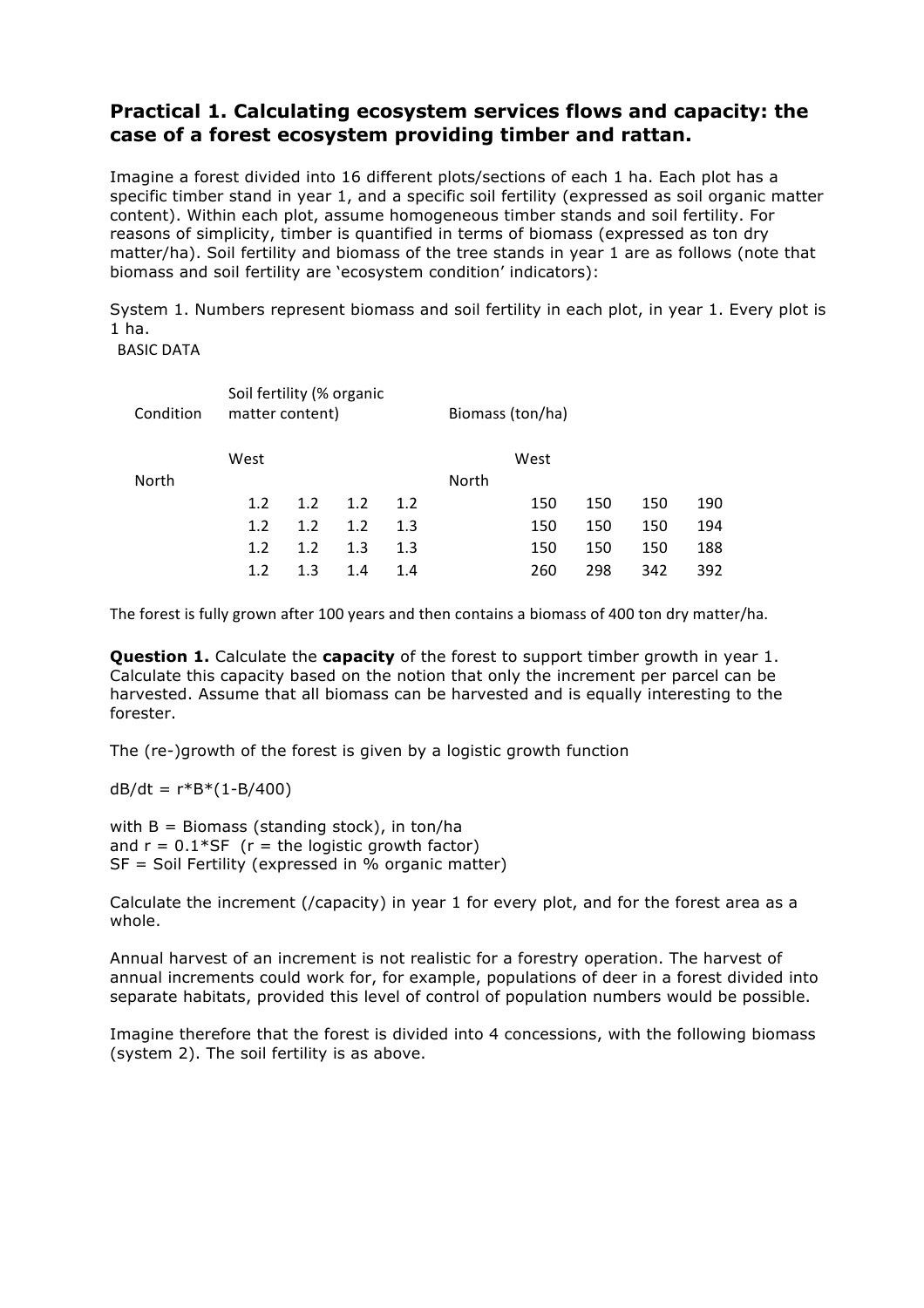## **Practical 1. Calculating ecosystem services flows and capacity: the case of a forest ecosystem providing timber and rattan.**

Imagine a forest divided into 16 different plots/sections of each 1 ha. Each plot has a specific timber stand in year 1, and a specific soil fertility (expressed as soil organic matter content). Within each plot, assume homogeneous timber stands and soil fertility. For reasons of simplicity, timber is quantified in terms of biomass (expressed as ton dry matter/ha). Soil fertility and biomass of the tree stands in year 1 are as follows (note that biomass and soil fertility are 'ecosystem condition' indicators):

System 1. Numbers represent biomass and soil fertility in each plot, in year 1. Every plot is 1 ha.

**BASIC DATA** 

| Condition | Soil fertility (% organic<br>matter content) |     |     |     | Biomass (ton/ha) |      |     |     |     |  |
|-----------|----------------------------------------------|-----|-----|-----|------------------|------|-----|-----|-----|--|
|           | West                                         |     |     |     |                  | West |     |     |     |  |
| North     |                                              |     |     |     | North            |      |     |     |     |  |
|           | 1.2                                          | 1.2 | 1.2 | 1.2 |                  | 150  | 150 | 150 | 190 |  |
|           | 1.2                                          | 1.2 | 1.2 | 1.3 |                  | 150  | 150 | 150 | 194 |  |
|           | 1.2                                          | 1.2 | 1.3 | 1.3 |                  | 150  | 150 | 150 | 188 |  |
|           | 1.2                                          | 1.3 | 1.4 | 1.4 |                  | 260  | 298 | 342 | 392 |  |

The forest is fully grown after 100 years and then contains a biomass of 400 ton dry matter/ha.

**Question 1.** Calculate the **capacity** of the forest to support timber growth in year 1. Calculate this capacity based on the notion that only the increment per parcel can be harvested. Assume that all biomass can be harvested and is equally interesting to the forester.

The (re-)growth of the forest is given by a logistic growth function

 $dB/dt = r*B*(1-B/400)$ 

with  $B =$  Biomass (standing stock), in ton/ha and  $r = 0.1*SF$  ( $r = the$  logistic growth factor)  $SF = Soil Fertility (expressed in % organic matter)$ 

Calculate the increment (/capacity) in year 1 for every plot, and for the forest area as a whole.

Annual harvest of an increment is not realistic for a forestry operation. The harvest of annual increments could work for, for example, populations of deer in a forest divided into separate habitats, provided this level of control of population numbers would be possible.

Imagine therefore that the forest is divided into 4 concessions, with the following biomass (system 2). The soil fertility is as above.